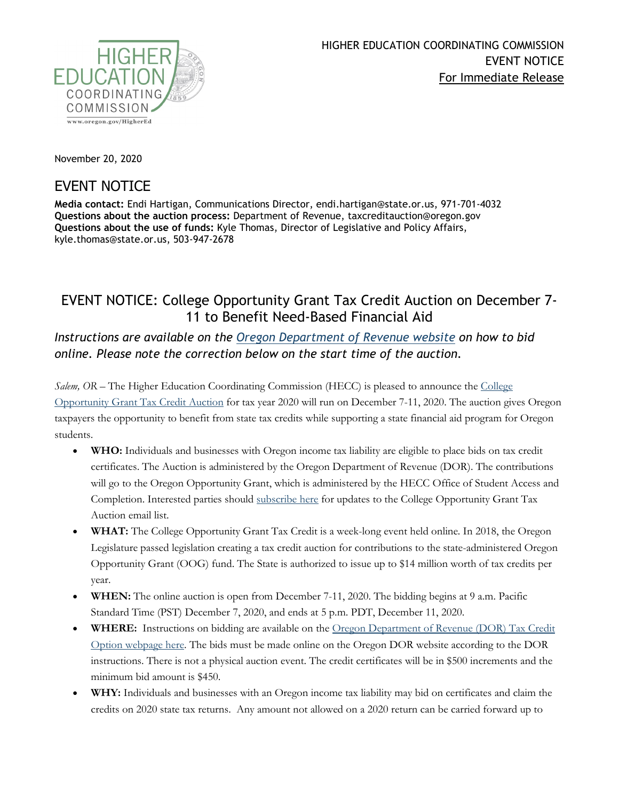

November 20, 2020

## EVENT NOTICE

**Media contact:** Endi Hartigan, Communications Director, endi.hartigan@state.or.us, 971-701-4032 **Questions about the auction process:** Department of Revenue, taxcreditauction@oregon.gov **Questions about the use of funds:** Kyle Thomas, Director of Legislative and Policy Affairs, kyle.thomas@state.or.us, 503-947-2678

## EVENT NOTICE: College Opportunity Grant Tax Credit Auction on December 7- 11 to Benefit Need-Based Financial Aid

*Instructions are available on the [Oregon Department of Revenue](https://www.oregon.gov/DOR/pages/auction.aspx) website on how to bid online. Please note the correction below on the start time of the auction.*

*Salem, OR –* The Higher Education Coordinating Commission (HECC) is pleased to announce the [College](https://www.oregon.gov/highered/about/Pages/OOG-tax-credit-auction.aspx)  [Opportunity Grant Tax Credit Auction](https://www.oregon.gov/highered/about/Pages/OOG-tax-credit-auction.aspx) for tax year 2020 will run on December 7-11, 2020. The auction gives Oregon taxpayers the opportunity to benefit from state tax credits while supporting a state financial aid program for Oregon students.

- **WHO:** Individuals and businesses with Oregon income tax liability are eligible to place bids on tax credit certificates. The Auction is administered by the Oregon Department of Revenue (DOR). The contributions will go to the Oregon Opportunity Grant, which is administered by the HECC Office of Student Access and Completion. Interested parties should [subscribe here](https://oregon.us3.list-manage.com/subscribe?u=4594642efda13a6f682ce6914&id=f21ad8499e) for updates to the College Opportunity Grant Tax Auction email list.
- **WHAT:** The College Opportunity Grant Tax Credit is a week-long event held online. In 2018, the Oregon Legislature passed legislation creating a tax credit auction for contributions to the state-administered Oregon Opportunity Grant (OOG) fund. The State is authorized to issue up to \$14 million worth of tax credits per year.
- **WHEN:** The online auction is open from December 7-11, 2020. The bidding begins at 9 a.m. Pacific Standard Time (PST) December 7, 2020, and ends at 5 p.m. PDT, December 11, 2020.
- **WHERE:** Instructions on bidding are available on the [Oregon Department of Revenue \(DOR\) Tax Credit](https://www.oregon.gov/DOR/pages/auction.aspx)  [Option webpage here.](https://www.oregon.gov/DOR/pages/auction.aspx) The bids must be made online on the Oregon DOR website according to the DOR instructions. There is not a physical auction event. The credit certificates will be in \$500 increments and the minimum bid amount is \$450.
- **WHY:** Individuals and businesses with an Oregon income tax liability may bid on certificates and claim the credits on 2020 state tax returns. Any amount not allowed on a 2020 return can be carried forward up to